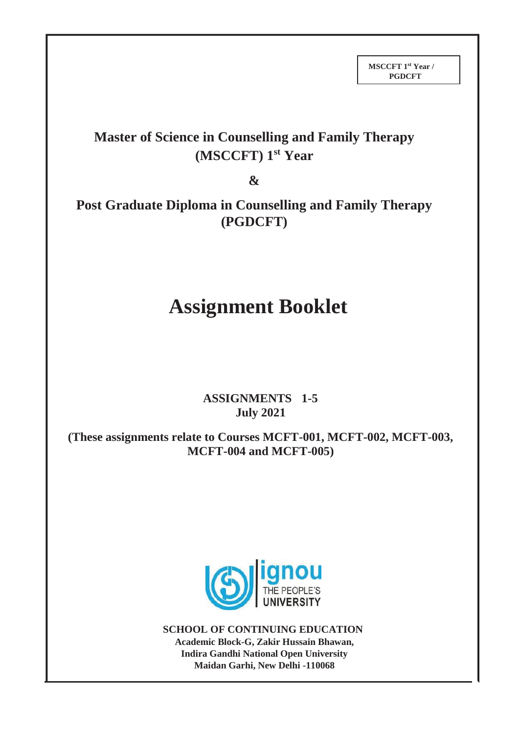## **Master of Science in Counselling and Family Therapy (MSCCFT) 1st Year**

**&**

**Post Graduate Diploma in Counselling and Family Therapy (PGDCFT)**

# **Assignment Booklet**

## **ASSIGNMENTS 1-5 July 2021**

**(These assignments relate to Courses MCFT-001, MCFT-002, MCFT-003, MCFT-004 and MCFT-005)**



**SCHOOL OF CONTINUING EDUCATION Academic Block-G, Zakir Hussain Bhawan, Indira Gandhi National Open University Maidan Garhi, New Delhi -110068**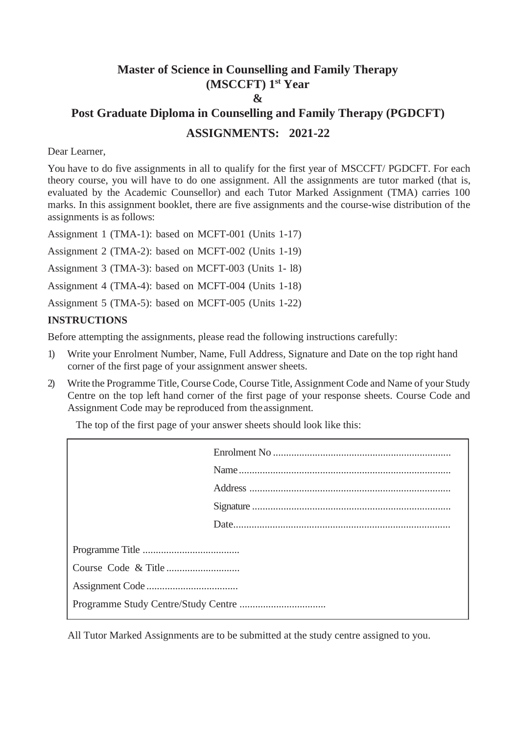## **Master of Science in Counselling and Family Therapy (MSCCFT) 1 st Year & Post Graduate Diploma in Counselling and Family Therapy (PGDCFT)**

## **ASSIGNMENTS: 2021-22**

#### Dear Learner,

You have to do five assignments in all to qualify for the first year of MSCCFT/ PGDCFT. For each theory course, you will have to do one assignment. All the assignments are tutor marked (that is, evaluated by the Academic Counsellor) and each Tutor Marked Assignment (TMA) carries 100 marks. In this assignment booklet, there are five assignments and the course-wise distribution of the assignments is as follows:

Assignment 1 (TMA-1): based on MCFT-001 (Units 1-17)

Assignment 2 (TMA-2): based on MCFT-002 (Units 1-19)

Assignment 3 (TMA-3): based on MCFT-003 (Units 1- l8)

Assignment 4 (TMA-4): based on MCFT-004 (Units 1-18)

Assignment 5 (TMA-5): based on MCFT-005 (Units 1-22)

#### **INSTRUCTIONS**

Before attempting the assignments, please read the following instructions carefully:

- 1) Write your Enrolment Number, Name, Full Address, Signature and Date on the top right hand corner of the first page of your assignment answer sheets.
- 2) Write the Programme Title, Course Code, Course Title, Assignment Code and Name of your Study Centre on the top left hand corner of the first page of your response sheets. Course Code and Assignment Code may be reproduced from theassignment.

The top of the first page of your answer sheets should look like this:

All Tutor Marked Assignments are to be submitted at the study centre assigned to you.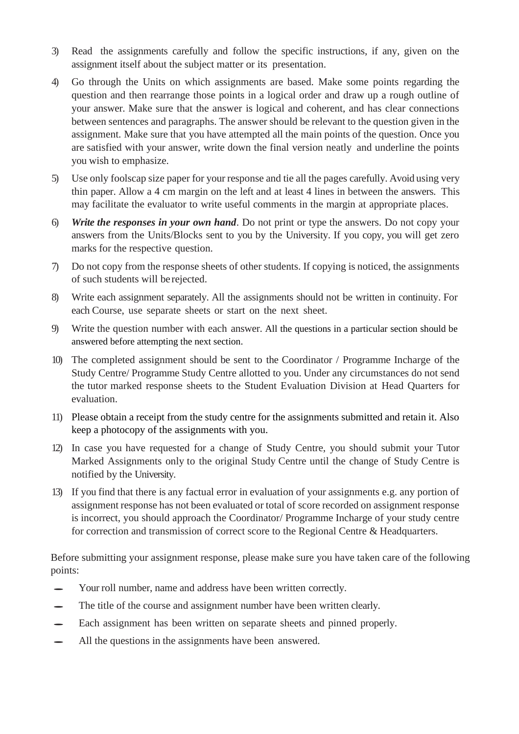- 3) Read the assignments carefully and follow the specific instructions, if any, given on the assignment itself about the subject matter or its presentation.
- 4) Go through the Units on which assignments are based. Make some points regarding the question and then rearrange those points in a logical order and draw up a rough outline of your answer. Make sure that the answer is logical and coherent, and has clear connections between sentences and paragraphs. The answer should be relevant to the question given in the assignment. Make sure that you have attempted all the main points of the question. Once you are satisfied with your answer, write down the final version neatly and underline the points you wish to emphasize.
- 5) Use only foolscap size paper for your response and tie all the pages carefully. Avoid using very thin paper. Allow a 4 cm margin on the left and at least 4 lines in between the answers. This may facilitate the evaluator to write useful comments in the margin at appropriate places.
- 6) *Write the responses in your own hand*. Do not print or type the answers. Do not copy your answers from the Units/Blocks sent to you by the University. If you copy, you will get zero marks for the respective question.
- 7) Do not copy from the response sheets of other students. If copying is noticed, the assignments of such students will be rejected.
- 8) Write each assignment separately. All the assignments should not be written in continuity. For each Course, use separate sheets or start on the next sheet.
- 9) Write the question number with each answer. All the questions in a particular section should be answered before attempting the next section.
- 10) The completed assignment should be sent to the Coordinator / Programme Incharge of the Study Centre/ Programme Study Centre allotted to you. Under any circumstances do not send the tutor marked response sheets to the Student Evaluation Division at Head Quarters for evaluation.
- 11) Please obtain a receipt from the study centre for the assignments submitted and retain it. Also keep a photocopy of the assignments with you.
- 12) In case you have requested for a change of Study Centre, you should submit your Tutor Marked Assignments only to the original Study Centre until the change of Study Centre is notified by the University.
- 13) If you find that there is any factual error in evaluation of your assignments e.g. any portion of assignment response has not been evaluated or total of score recorded on assignment response is incorrect, you should approach the Coordinator/ Programme Incharge of your study centre for correction and transmission of correct score to the Regional Centre & Headquarters.

Before submitting your assignment response, please make sure you have taken care of the following points:

- Your roll number, name and address have been written correctly.
- The title of the course and assignment number have been written clearly.
- Each assignment has been written on separate sheets and pinned properly.
- All the questions in the assignments have been answered.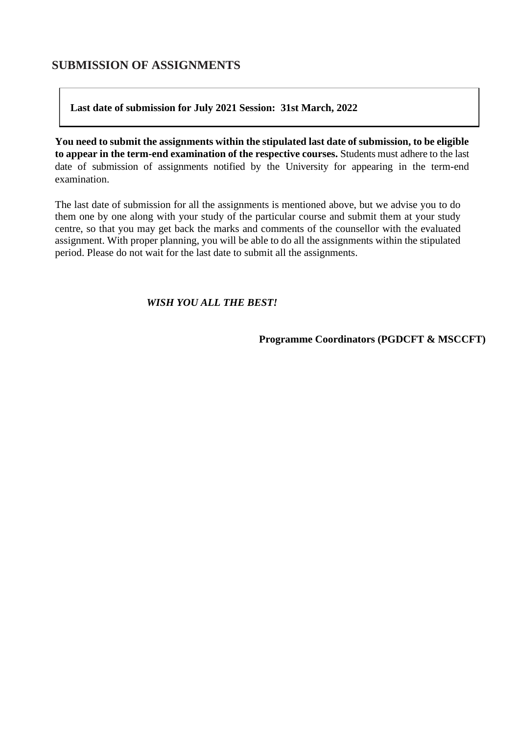### **SUBMISSION OF ASSIGNMENTS**

#### **Last date of submission for July 2021 Session: 31st March, 2022**

**You need to submit the assignments within the stipulated last date of submission, to be eligible to appear in the term-end examination of the respective courses.** Students must adhere to the last date of submission of assignments notified by the University for appearing in the term-end examination.

The last date of submission for all the assignments is mentioned above, but we advise you to do them one by one along with your study of the particular course and submit them at your study centre, so that you may get back the marks and comments of the counsellor with the evaluated assignment. With proper planning, you will be able to do all the assignments within the stipulated period. Please do not wait for the last date to submit all the assignments.

#### *WISH YOU ALL THE BEST!*

**Programme Coordinators (PGDCFT & MSCCFT)**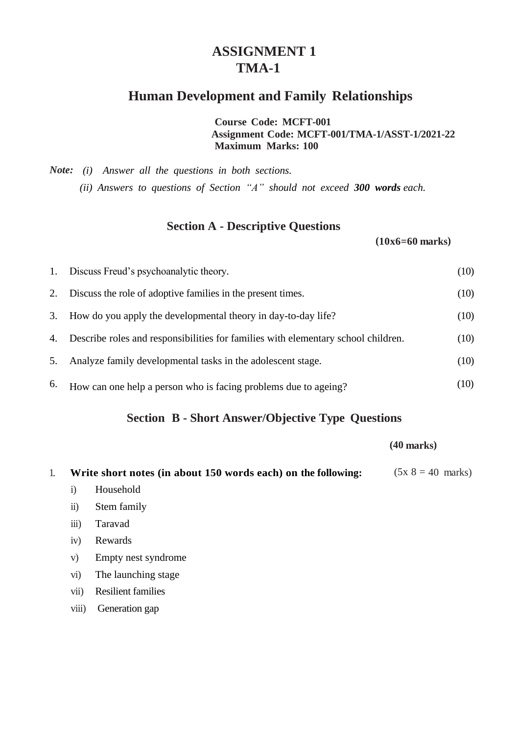## **ASSIGNMENT 1 TMA-1**

## **Human Development and Family Relationships**

**Course Code: MCFT-001 Assignment Code: MCFT-001/TMA-1/ASST-1/2021-22 Maximum Marks: 100**

*Note: (i) Answer all the questions in both sections. (ii) Answers to questions of Section "A" should not exceed 300 words each.*

## **Section A - Descriptive Questions**

 **(10x6=60 marks)**

|    | 1. Discuss Freud's psychoanalytic theory.                                         | (10) |
|----|-----------------------------------------------------------------------------------|------|
| 2. | Discuss the role of adoptive families in the present times.                       | (10) |
| 3. | How do you apply the developmental theory in day-to-day life?                     | (10) |
| 4. | Describe roles and responsibilities for families with elementary school children. | (10) |
| 5. | Analyze family developmental tasks in the adolescent stage.                       | (10) |
| 6. | How can one help a person who is facing problems due to ageing?                   | (10) |

## **Section B - Short Answer/Objective Type Questions**

 **(40 marks)**

| 1. |                    | Write short notes (in about 150 words each) on the following: | $(5x 8 = 40 \text{ marks})$ |
|----|--------------------|---------------------------------------------------------------|-----------------------------|
|    | 1)                 | Household                                                     |                             |
|    | $\overline{11}$    | Stem family                                                   |                             |
|    | $\overline{iii}$ ) | Taravad                                                       |                             |
|    | 1V)                | Rewards                                                       |                             |
|    |                    |                                                               |                             |

- v) Empty nest syndrome
- vi) The launching stage
- vii) Resilient families
- viii) Generation gap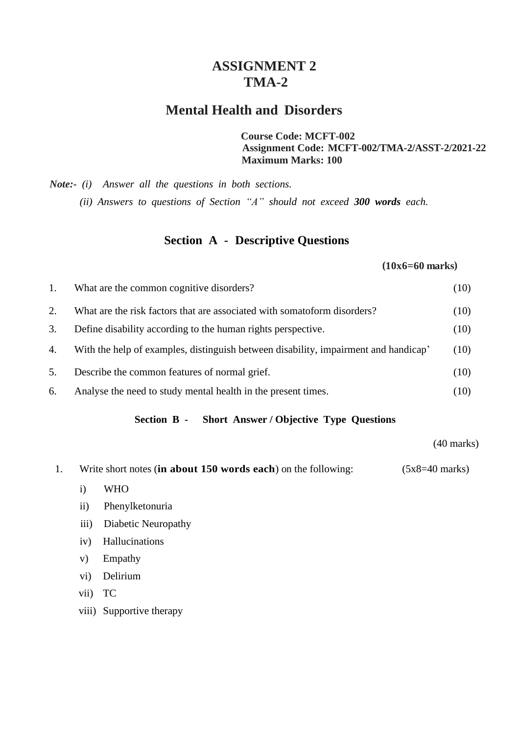## **ASSIGNMENT 2 TMA-2**

## **Mental Health and Disorders**

**Course Code: MCFT-002 Assignment Code: MCFT-002/TMA-2/ASST-2/2021-22 Maximum Marks: 100**

*Note:- (i) Answer all the questions in both sections. (ii) Answers to questions of Section "A" should not exceed 300 words each.*

### **Section A - Descriptive Questions**

#### **(10x6=60 marks)**

| 1. | What are the common cognitive disorders?                                            | (10) |
|----|-------------------------------------------------------------------------------------|------|
| 2. | What are the risk factors that are associated with somatoform disorders?            | (10) |
| 3. | Define disability according to the human rights perspective.                        | (10) |
| 4. | With the help of examples, distinguish between disability, impairment and handicap' | (10) |
| 5. | Describe the common features of normal grief.                                       | (10) |
| 6. | Analyse the need to study mental health in the present times.                       | (10) |

#### **Section B - Short Answer / Objective Type Questions**

(40 marks)

- 1. Write short notes (**in about 150 words each**) on the following: (5x8=40 marks)
	- i) WHO
	- ii) Phenylketonuria
	- iii) Diabetic Neuropathy
	- iv) Hallucinations
	- v) Empathy
	- vi) Delirium
	- vii) TC
	- viii) Supportive therapy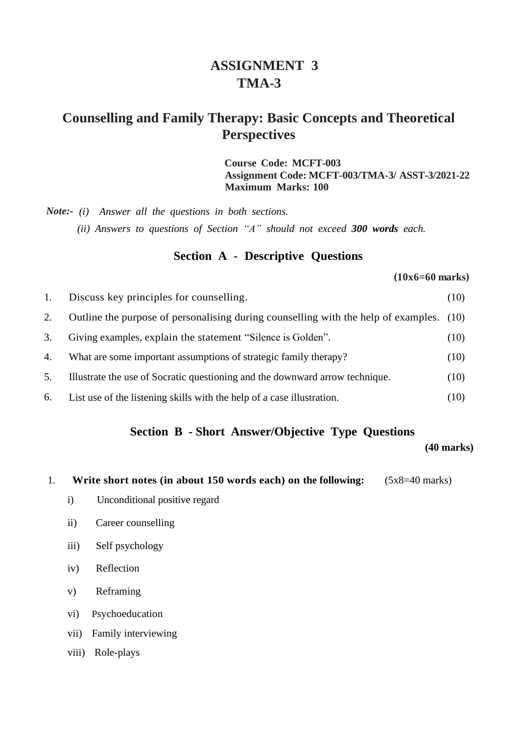## **ASSIGNMENT 3 TMA-3**

## **Counselling and Family Therapy: Basic Concepts and Theoretical Perspectives**

**Course Code: MCFT-003 Assignment Code: MCFT-003/TMA-3/ ASST-3/2021-22 Maximum Marks: 100**

*Note:- (i) Answer all the questions in both sections. (ii) Answers to questions of Section "A" should not exceed 300 words each.*

## **Section A - Descriptive Questions**

**(10x6=60 marks)**

| 1. | Discuss key principles for counselling.                                                 | (10) |
|----|-----------------------------------------------------------------------------------------|------|
| 2. | Outline the purpose of personalising during counselling with the help of examples. (10) |      |
| 3. | Giving examples, explain the statement "Silence is Golden".                             | (10) |
| 4. | What are some important assumptions of strategic family therapy?                        | (10) |
| 5. | Illustrate the use of Socratic questioning and the downward arrow technique.            | (10) |
| 6. | List use of the listening skills with the help of a case illustration.                  | (10) |

### **Section B - Short Answer/Objective Type Questions**

#### **(40 marks)**

1. **Write short notes (in about 150 words each) on the following:** (5x8=40 marks)

- i) Unconditional positive regard
- ii) Career counselling
- iii) Self psychology
- iv) Reflection
- v) Reframing
- vi) Psychoeducation
- vii) Family interviewing
- viii) Role-plays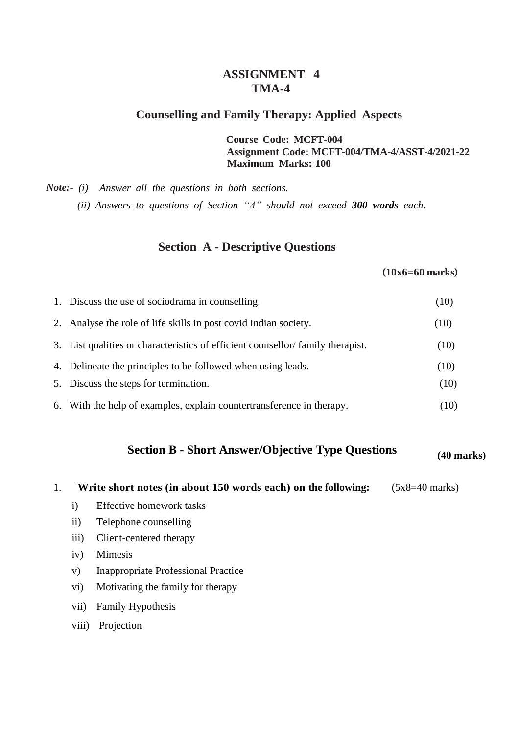### **ASSIGNMENT 4 TMA-4**

#### **Counselling and Family Therapy: Applied Aspects**

**Course Code: MCFT-004 Assignment Code: MCFT-004/TMA-4/ASST-4/2021-22 Maximum Marks: 100**

*Note:- (i) Answer all the questions in both sections. (ii) Answers to questions of Section "A" should not exceed 300 words each.*

## **Section A - Descriptive Questions**

#### **(10x6=60 marks)**

| 1. Discuss the use of sociodrama in counselling.                               | (10) |
|--------------------------------------------------------------------------------|------|
| 2. Analyse the role of life skills in post covid Indian society.               | (10) |
| 3. List qualities or characteristics of efficient counsellor/family therapist. | (10) |
| 4. Delineate the principles to be followed when using leads.                   | (10) |
| 5. Discuss the steps for termination.                                          | (10) |
| 6. With the help of examples, explain countertransference in therapy.          | (10) |

## **Section B - Short Answer/Objective Type Questions (40 marks)**

- 1. **Write short notes (in about 150 words each) on the following:** (5x8=40 marks)
	- i) Effective homework tasks
	- ii) Telephone counselling
	- iii) Client-centered therapy
	- iv) Mimesis
	- v) Inappropriate Professional Practice
	- vi) Motivating the family for therapy
	- vii) Family Hypothesis
	- viii) Projection